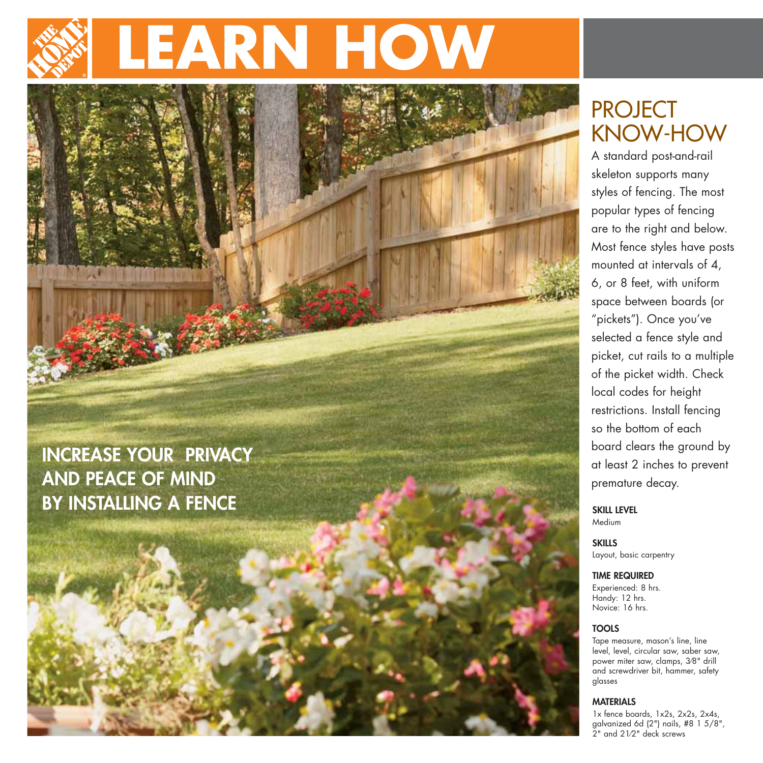# **LEARN HOW**

### **INCREASE YOUR PRIVACY AND PEACE OF MIND BY INSTALLING A FENCE**

# PROJECT KNOW-HOW

A standard post-and-rail skeleton supports many styles of fencing. The most popular types of fencing are to the right and below. Most fence styles have posts mounted at intervals of 4, 6, or 8 feet, with uniform space between boards (or "pickets"). Once you've selected a fence style and picket, cut rails to a multiple of the picket width. Check local codes for height restrictions. Install fencing so the bottom of each board clears the ground by at least 2 inches to prevent premature decay.

**SKILL LEVEL** Medium

**SKILLS** Layout, basic carpentry

**TIME REQUIRED**

Experienced: 8 hrs. Handy: 12 hrs. Novice: 16 hrs.

#### **TOOLS**

Tape measure, mason's line, line level, level, circular saw, saber saw, power miter saw, clamps, 3⁄8" drill and screwdriver bit, hammer, safety glasses

#### **MATERIALS**

1x fence boards, 1x2s, 2x2s, 2x4s, galvanized 6d (2") nails, #8 1 5/8", 2" and 21⁄2" deck screws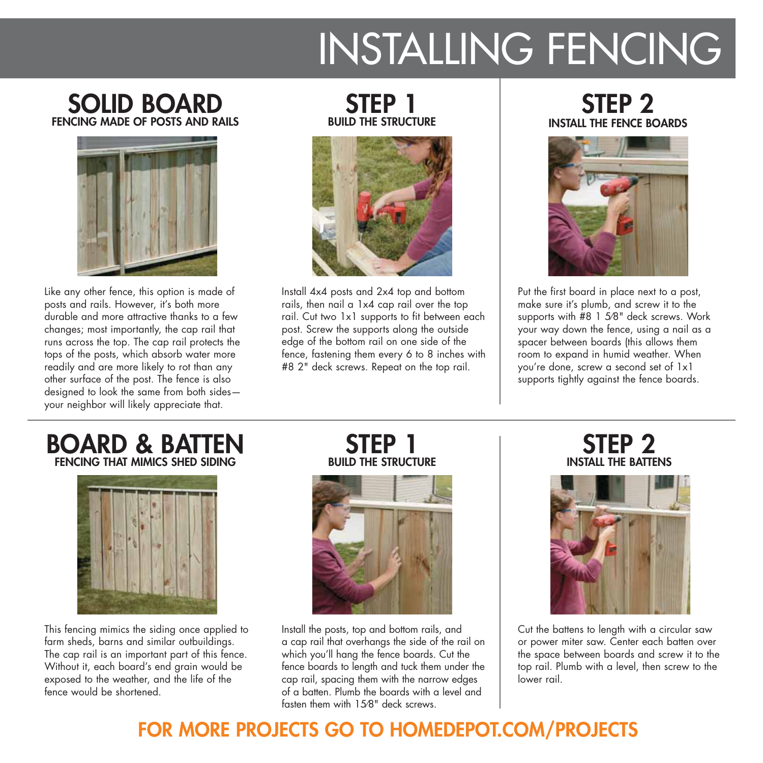# INSTALLING FENCING

#### **SOLID BOARD FENCING MADE OF POSTS AND RAILS**



Like any other fence, this option is made of posts and rails. However, it's both more durable and more attractive thanks to a few changes; most importantly, the cap rail that runs across the top. The cap rail protects the tops of the posts, which absorb water more readily and are more likely to rot than any other surface of the post. The fence is also designed to look the same from both sides your neighbor will likely appreciate that.

#### **STEP 1 BUILD THE STRUCTURE**



Install 4x4 posts and 2x4 top and bottom rails, then nail a 1x4 cap rail over the top rail. Cut two 1x1 supports to fit between each post. Screw the supports along the outside edge of the bottom rail on one side of the fence, fastening them every 6 to 8 inches with #8 2" deck screws. Repeat on the top rail.

#### **STEP 2 INSTALL THE FENCE BOARDS**



Put the first board in place next to a post, make sure it's plumb, and screw it to the supports with #8 1 5⁄8" deck screws. Work your way down the fence, using a nail as a spacer between boards (this allows them room to expand in humid weather. When you're done, screw a second set of 1x1 supports tightly against the fence boards.

#### **BOARD & BATTEN FENCING THAT MIMICS SHED SIDING**



This fencing mimics the siding once applied to farm sheds, barns and similar outbuildings. The cap rail is an important part of this fence. Without it, each board's end grain would be exposed to the weather, and the life of the fence would be shortened.

**STEP 1 BUILD THE STRUCTURE**



Install the posts, top and bottom rails, and a cap rail that overhangs the side of the rail on which you'll hang the fence boards. Cut the fence boards to length and tuck them under the cap rail, spacing them with the narrow edges of a batten. Plumb the boards with a level and fasten them with 15⁄8" deck screws.

#### **STEP 2 INSTALL THE BATTENS**



Cut the battens to length with a circular saw or power miter saw. Center each batten over the space between boards and screw it to the top rail. Plumb with a level, then screw to the lower rail.

## **FOR MORE PROJECTS GO TO HOMEDEPOT.COM/PROJECTS**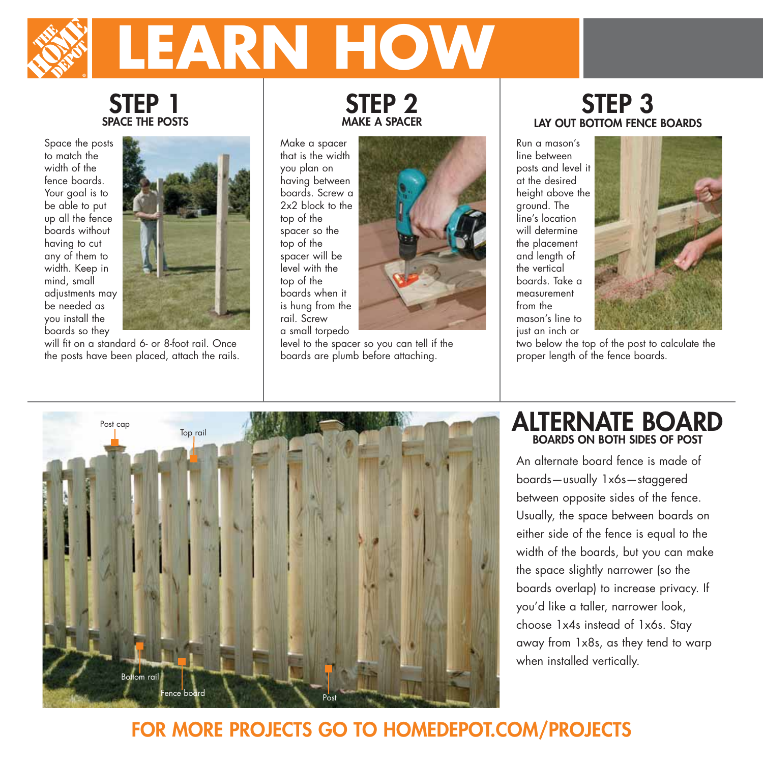# **LEARN HOW**

#### **STEP 1 SPACE THE POSTS**

Space the posts to match the width of the fence boards. Your goal is to be able to put up all the fence boards without having to cut any of them to width. Keep in mind, small adjustments may be needed as you install the boards so they



will fit on a standard 6- or 8-foot rail. Once the posts have been placed, attach the rails.

#### **STEP 2 MAKE A SPACER**

Make a spacer that is the width you plan on having between boards. Screw a 2x2 block to the top of the spacer so the top of the spacer will be level with the top of the boards when it is hung from the rail. Screw a small torpedo



level to the spacer so you can tell if the boards are plumb before attaching.

#### **STEP 3 LAY OUT BOTTOM FENCE BOARDS**

Run a mason's line between posts and level it at the desired height above the ground. The line's location will determine the placement and length of the vertical boards. Take a measurement from the mason's line to just an inch or



two below the top of the post to calculate the proper length of the fence boards.



#### **ALTERNATE BOARD BOARDS ON BOTH SIDES OF POST**

An alternate board fence is made of boards—usually 1x6s—staggered between opposite sides of the fence. Usually, the space between boards on either side of the fence is equal to the width of the boards, but you can make the space slightly narrower (so the boards overlap) to increase privacy. If you'd like a taller, narrower look, choose 1x4s instead of 1x6s. Stay away from 1x8s, as they tend to warp when installed vertically.

# **FOR MORE PROJECTS GO TO HOMEDEPOT.COM/PROJECTS**